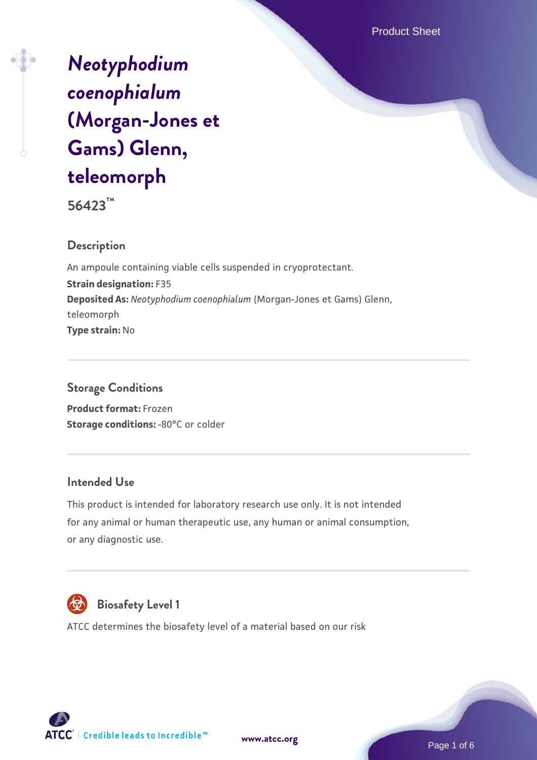Product Sheet

# *[Neotyphodium](https://www.atcc.org/products/56423) [coenophialum](https://www.atcc.org/products/56423)* **[\(Morgan-Jones et](https://www.atcc.org/products/56423) [Gams\) Glenn,](https://www.atcc.org/products/56423) [teleomorph](https://www.atcc.org/products/56423)**

**56423™**

#### **Description**

An ampoule containing viable cells suspended in cryoprotectant. **Strain designation:** F35 **Deposited As:** *Neotyphodium coenophialum* (Morgan-Jones et Gams) Glenn, teleomorph **Type strain:** No

## **Storage Conditions**

**Product format:** Frozen **Storage conditions: -80°C or colder** 

#### **Intended Use**

This product is intended for laboratory research use only. It is not intended for any animal or human therapeutic use, any human or animal consumption, or any diagnostic use.



## **Biosafety Level 1**

ATCC determines the biosafety level of a material based on our risk





Page 1 of 6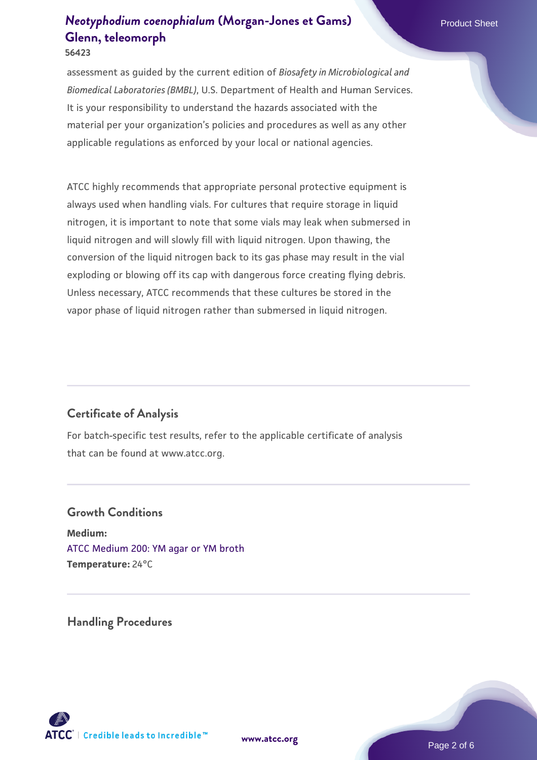assessment as guided by the current edition of *Biosafety in Microbiological and Biomedical Laboratories (BMBL)*, U.S. Department of Health and Human Services. It is your responsibility to understand the hazards associated with the material per your organization's policies and procedures as well as any other applicable regulations as enforced by your local or national agencies.

ATCC highly recommends that appropriate personal protective equipment is always used when handling vials. For cultures that require storage in liquid nitrogen, it is important to note that some vials may leak when submersed in liquid nitrogen and will slowly fill with liquid nitrogen. Upon thawing, the conversion of the liquid nitrogen back to its gas phase may result in the vial exploding or blowing off its cap with dangerous force creating flying debris. Unless necessary, ATCC recommends that these cultures be stored in the vapor phase of liquid nitrogen rather than submersed in liquid nitrogen.

#### **Certificate of Analysis**

For batch-specific test results, refer to the applicable certificate of analysis that can be found at www.atcc.org.

#### **Growth Conditions**

**Medium:**  [ATCC Medium 200: YM agar or YM broth](https://www.atcc.org/-/media/product-assets/documents/microbial-media-formulations/2/0/0/atcc-medium-200.pdf?rev=ac40fd74dc13433a809367b0b9da30fc) **Temperature:** 24°C

**Handling Procedures**



**[www.atcc.org](http://www.atcc.org)**

Page 2 of 6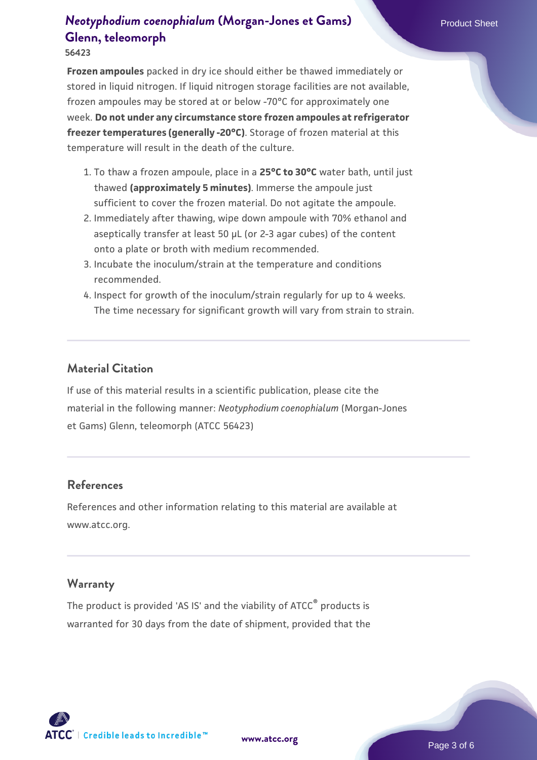**Frozen ampoules** packed in dry ice should either be thawed immediately or stored in liquid nitrogen. If liquid nitrogen storage facilities are not available, frozen ampoules may be stored at or below -70°C for approximately one week. **Do not under any circumstance store frozen ampoules at refrigerator freezer temperatures (generally -20°C)**. Storage of frozen material at this temperature will result in the death of the culture.

- 1. To thaw a frozen ampoule, place in a **25°C to 30°C** water bath, until just thawed **(approximately 5 minutes)**. Immerse the ampoule just sufficient to cover the frozen material. Do not agitate the ampoule.
- 2. Immediately after thawing, wipe down ampoule with 70% ethanol and aseptically transfer at least 50 µL (or 2-3 agar cubes) of the content onto a plate or broth with medium recommended.
- Incubate the inoculum/strain at the temperature and conditions 3. recommended.
- 4. Inspect for growth of the inoculum/strain regularly for up to 4 weeks. The time necessary for significant growth will vary from strain to strain.

#### **Material Citation**

If use of this material results in a scientific publication, please cite the material in the following manner: *Neotyphodium coenophialum* (Morgan-Jones et Gams) Glenn, teleomorph (ATCC 56423)

#### **References**

References and other information relating to this material are available at www.atcc.org.

#### **Warranty**

The product is provided 'AS IS' and the viability of ATCC® products is warranted for 30 days from the date of shipment, provided that the

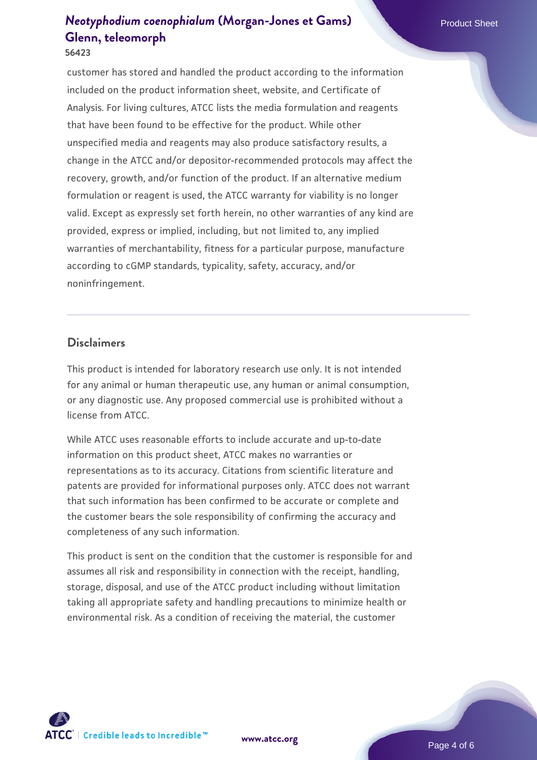**56423**

customer has stored and handled the product according to the information included on the product information sheet, website, and Certificate of Analysis. For living cultures, ATCC lists the media formulation and reagents that have been found to be effective for the product. While other unspecified media and reagents may also produce satisfactory results, a change in the ATCC and/or depositor-recommended protocols may affect the recovery, growth, and/or function of the product. If an alternative medium formulation or reagent is used, the ATCC warranty for viability is no longer valid. Except as expressly set forth herein, no other warranties of any kind are provided, express or implied, including, but not limited to, any implied warranties of merchantability, fitness for a particular purpose, manufacture according to cGMP standards, typicality, safety, accuracy, and/or noninfringement.

#### **Disclaimers**

This product is intended for laboratory research use only. It is not intended for any animal or human therapeutic use, any human or animal consumption, or any diagnostic use. Any proposed commercial use is prohibited without a license from ATCC.

While ATCC uses reasonable efforts to include accurate and up-to-date information on this product sheet, ATCC makes no warranties or representations as to its accuracy. Citations from scientific literature and patents are provided for informational purposes only. ATCC does not warrant that such information has been confirmed to be accurate or complete and the customer bears the sole responsibility of confirming the accuracy and completeness of any such information.

This product is sent on the condition that the customer is responsible for and assumes all risk and responsibility in connection with the receipt, handling, storage, disposal, and use of the ATCC product including without limitation taking all appropriate safety and handling precautions to minimize health or environmental risk. As a condition of receiving the material, the customer

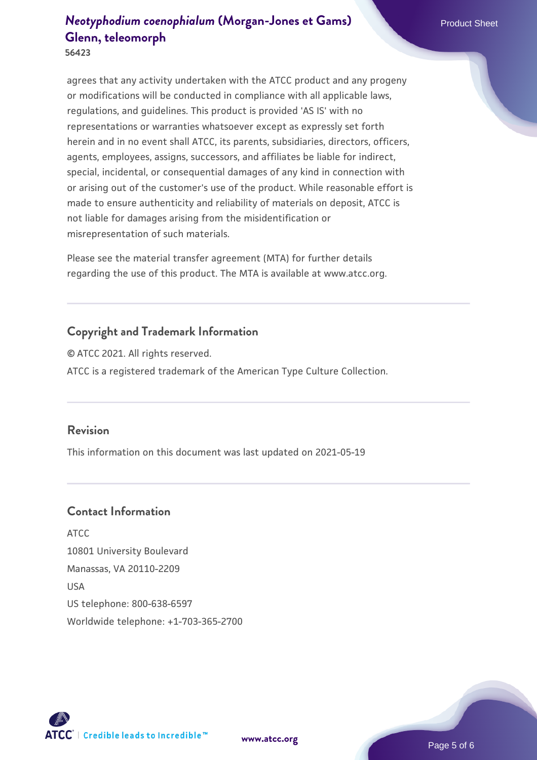agrees that any activity undertaken with the ATCC product and any progeny or modifications will be conducted in compliance with all applicable laws, regulations, and guidelines. This product is provided 'AS IS' with no representations or warranties whatsoever except as expressly set forth herein and in no event shall ATCC, its parents, subsidiaries, directors, officers, agents, employees, assigns, successors, and affiliates be liable for indirect, special, incidental, or consequential damages of any kind in connection with or arising out of the customer's use of the product. While reasonable effort is made to ensure authenticity and reliability of materials on deposit, ATCC is not liable for damages arising from the misidentification or misrepresentation of such materials.

Please see the material transfer agreement (MTA) for further details regarding the use of this product. The MTA is available at www.atcc.org.

#### **Copyright and Trademark Information**

© ATCC 2021. All rights reserved. ATCC is a registered trademark of the American Type Culture Collection.

#### **Revision**

This information on this document was last updated on 2021-05-19

#### **Contact Information**

ATCC 10801 University Boulevard Manassas, VA 20110-2209 USA US telephone: 800-638-6597 Worldwide telephone: +1-703-365-2700